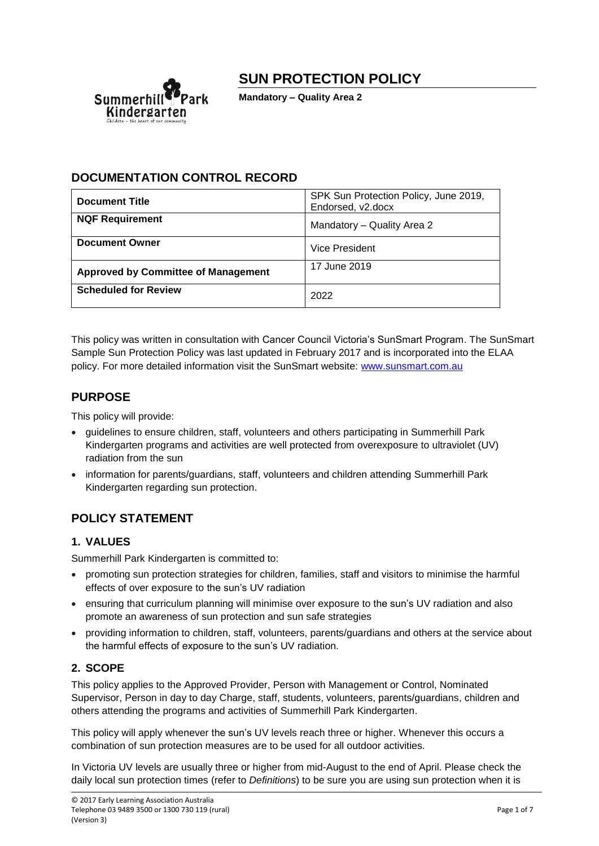# **SUN PROTECTION POLICY**



**Mandatory – Quality Area 2**

# **DOCUMENTATION CONTROL RECORD**

| <b>Document Title</b>                      | SPK Sun Protection Policy, June 2019,<br>Endorsed, v2.docx |
|--------------------------------------------|------------------------------------------------------------|
| <b>NQF Requirement</b>                     | Mandatory - Quality Area 2                                 |
| <b>Document Owner</b>                      | Vice President                                             |
| <b>Approved by Committee of Management</b> | 17 June 2019                                               |
| <b>Scheduled for Review</b>                | 2022                                                       |

This policy was written in consultation with Cancer Council Victoria's SunSmart Program. The SunSmart Sample Sun Protection Policy was last updated in February 2017 and is incorporated into the ELAA policy. For more detailed information visit the SunSmart website: [www.sunsmart.com.au](http://www.sunsmart.com.au/)

# **PURPOSE**

This policy will provide:

- guidelines to ensure children, staff, volunteers and others participating in Summerhill Park Kindergarten programs and activities are well protected from overexposure to ultraviolet (UV) radiation from the sun
- information for parents/guardians, staff, volunteers and children attending Summerhill Park Kindergarten regarding sun protection.

# **POLICY STATEMENT**

# **1. VALUES**

Summerhill Park Kindergarten is committed to:

- promoting sun protection strategies for children, families, staff and visitors to minimise the harmful effects of over exposure to the sun's UV radiation
- ensuring that curriculum planning will minimise over exposure to the sun's UV radiation and also promote an awareness of sun protection and sun safe strategies
- providing information to children, staff, volunteers, parents/guardians and others at the service about the harmful effects of exposure to the sun's UV radiation.

# **2. SCOPE**

This policy applies to the Approved Provider, Person with Management or Control, Nominated Supervisor, Person in day to day Charge, staff, students, volunteers, parents/guardians, children and others attending the programs and activities of Summerhill Park Kindergarten.

This policy will apply whenever the sun's UV levels reach three or higher. Whenever this occurs a combination of sun protection measures are to be used for all outdoor activities.

In Victoria UV levels are usually three or higher from mid-August to the end of April. Please check the daily local sun protection times (refer to *Definitions*) to be sure you are using sun protection when it is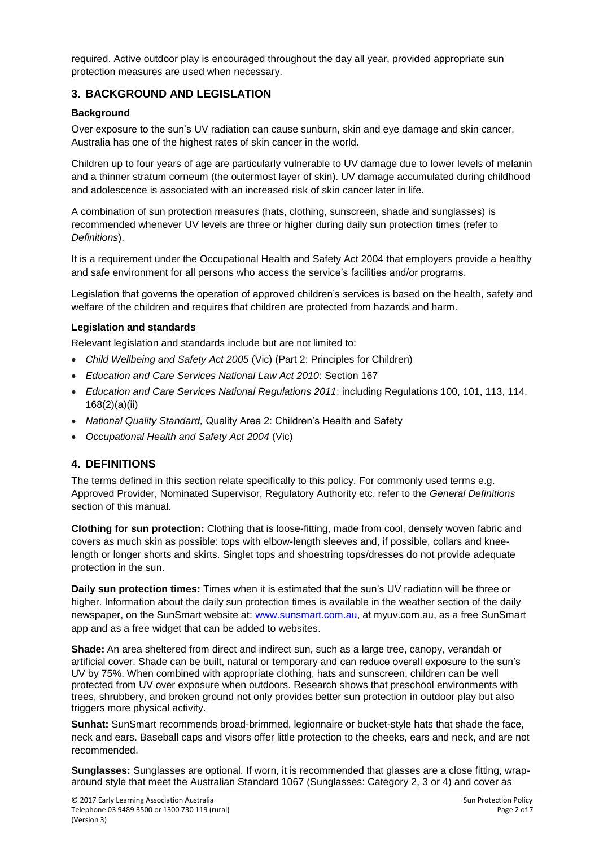required. Active outdoor play is encouraged throughout the day all year, provided appropriate sun protection measures are used when necessary.

# **3. BACKGROUND AND LEGISLATION**

### **Background**

Over exposure to the sun's UV radiation can cause sunburn, skin and eye damage and skin cancer. Australia has one of the highest rates of skin cancer in the world.

Children up to four years of age are particularly vulnerable to UV damage due to lower levels of melanin and a thinner stratum corneum (the outermost layer of skin). UV damage accumulated during childhood and adolescence is associated with an increased risk of skin cancer later in life.

A combination of sun protection measures (hats, clothing, sunscreen, shade and sunglasses) is recommended whenever UV levels are three or higher during daily sun protection times (refer to *Definitions*).

It is a requirement under the Occupational Health and Safety Act 2004 that employers provide a healthy and safe environment for all persons who access the service's facilities and/or programs.

Legislation that governs the operation of approved children's services is based on the health, safety and welfare of the children and requires that children are protected from hazards and harm.

#### **Legislation and standards**

Relevant legislation and standards include but are not limited to:

- *Child Wellbeing and Safety Act 2005* (Vic) (Part 2: Principles for Children)
- *Education and Care Services National Law Act 2010*: Section 167
- *Education and Care Services National Regulations 2011*: including Regulations 100, 101, 113, 114, 168(2)(a)(ii)
- *National Quality Standard,* Quality Area 2: Children's Health and Safety
- *Occupational Health and Safety Act 2004* (Vic)

# **4. DEFINITIONS**

The terms defined in this section relate specifically to this policy. For commonly used terms e.g. Approved Provider, Nominated Supervisor, Regulatory Authority etc. refer to the *General Definitions* section of this manual.

**Clothing for sun protection:** Clothing that is loose-fitting, made from cool, densely woven fabric and covers as much skin as possible: tops with elbow-length sleeves and, if possible, collars and kneelength or longer shorts and skirts. Singlet tops and shoestring tops/dresses do not provide adequate protection in the sun.

**Daily sun protection times:** Times when it is estimated that the sun's UV radiation will be three or higher. Information about the daily sun protection times is available in the weather section of the daily newspaper, on the SunSmart website at: [www.sunsmart.com.au,](http://www.sunsmart.com.au/) at myuv.com.au, as a free SunSmart app and as a free widget that can be added to websites.

**Shade:** An area sheltered from direct and indirect sun, such as a large tree, canopy, verandah or artificial cover. Shade can be built, natural or temporary and can reduce overall exposure to the sun's UV by 75%. When combined with appropriate clothing, hats and sunscreen, children can be well protected from UV over exposure when outdoors. Research shows that preschool environments with trees, shrubbery, and broken ground not only provides better sun protection in outdoor play but also triggers more physical activity.

**Sunhat:** SunSmart recommends broad-brimmed, legionnaire or bucket-style hats that shade the face, neck and ears. Baseball caps and visors offer little protection to the cheeks, ears and neck, and are not recommended.

**Sunglasses:** Sunglasses are optional. If worn, it is recommended that glasses are a close fitting, wraparound style that meet the Australian Standard 1067 (Sunglasses: Category 2, 3 or 4) and cover as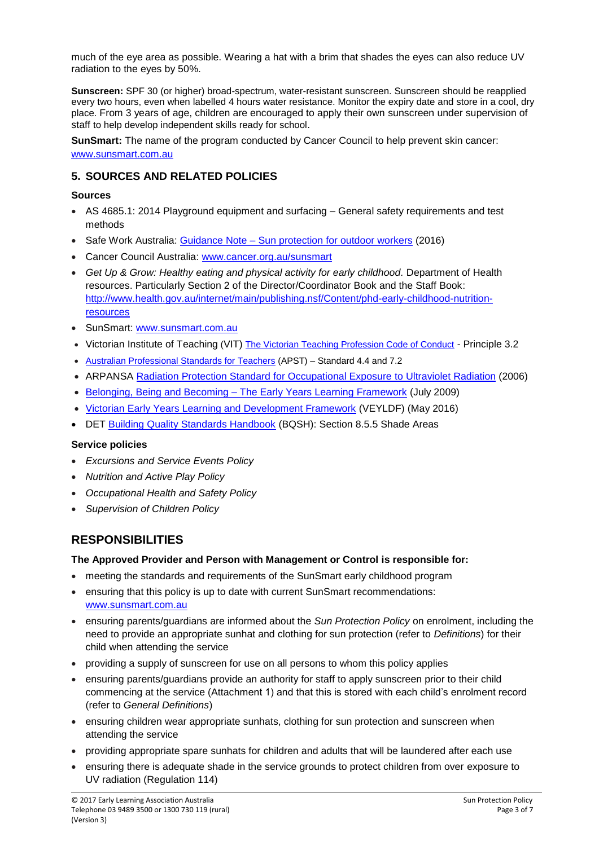much of the eye area as possible. Wearing a hat with a brim that shades the eyes can also reduce UV radiation to the eyes by 50%.

**Sunscreen:** SPF 30 (or higher) broad-spectrum, water-resistant sunscreen. Sunscreen should be reapplied every two hours, even when labelled 4 hours water resistance. Monitor the expiry date and store in a cool, dry place. From 3 years of age, children are encouraged to apply their own sunscreen under supervision of staff to help develop independent skills ready for school.

**SunSmart:** The name of the program conducted by Cancer Council to help prevent skin cancer: [www.sunsmart.com.au](http://www.sunsmart.com.au/)

# **5. SOURCES AND RELATED POLICIES**

#### **Sources**

- AS 4685.1: 2014 Playground equipment and surfacing General safety requirements and test methods
- Safe Work Australia: Guidance Note [Sun protection for outdoor workers](https://www.worksafe.vic.gov.au/__data/assets/pdf_file/0012/198687/WorkSafe_WSV17410108.16_FactSheet_final.pdf) (2016)
- Cancer Council Australia: [www.cancer.org.au/sunsmart](http://www.cancer.org.au/sunsmart)
- Get Up & Grow: Healthy eating and physical activity for early childhood. Department of Health resources. Particularly Section 2 of the Director/Coordinator Book and the Staff Book: [http://www.health.gov.au/internet/main/publishing.nsf/Content/phd-early-childhood-nutrition](http://www.health.gov.au/internet/main/publishing.nsf/Content/phd-early-childhood-nutrition-resources)[resources](http://www.health.gov.au/internet/main/publishing.nsf/Content/phd-early-childhood-nutrition-resources)
- SunSmart: [www.sunsmart.com.au](http://www.sunsmart.com.au/)
- Victorian Institute of Teaching (VIT) [The Victorian Teaching Profession Code of Conduct](http://www.vit.vic.edu.au/__data/assets/pdf_file/0018/35604/Code-of-Conduct-2016.pdf) Principle 3.2
- [Australian Professional Standards for Teachers](http://www.vit.vic.edu.au/__data/assets/pdf_file/0005/38678/Opportunities-for-demonstrating-the-APST-through-Inquiry-approach.pdf) (APST) Standard 4.4 and 7.2
- ARPANSA [Radiation Protection Standard for Occupational Exposure](http://www.arpansa.gov.au/pubs/rps/rps12.pdf) to Ultraviolet Radiation (2006)
- Belonging, Being and Becoming [The Early Years Learning Framework](https://www.education.gov.au/early-years-learning-framework) (July 2009)
- [Victorian Early Years Learning and Development Framework](http://www.education.vic.gov.au/childhood/providers/edcare/pages/veyladf.aspx?Redirect=1) (VEYLDF) (May 2016)
- DET [Building Quality Standards Handbook](http://www.education.vic.gov.au/school/principals/spag/infrastructure/Documents/BuildingQualityStandardsHandbook(Oct2011).pdf) (BQSH): Section 8.5.5 Shade Areas

#### **Service policies**

- *Excursions and Service Events Policy*
- *Nutrition and Active Play Policy*
- *Occupational Health and Safety Policy*
- *Supervision of Children Policy*

# **RESPONSIBILITIES**

#### **The Approved Provider and Person with Management or Control is responsible for:**

- meeting the standards and requirements of the SunSmart early childhood program
- ensuring that this policy is up to date with current SunSmart recommendations: [www.sunsmart.com.au](http://www.sunsmart.com.au/)
- ensuring parents/guardians are informed about the *Sun Protection Policy* on enrolment, including the need to provide an appropriate sunhat and clothing for sun protection (refer to *Definitions*) for their child when attending the service
- providing a supply of sunscreen for use on all persons to whom this policy applies
- ensuring parents/guardians provide an authority for staff to apply sunscreen prior to their child commencing at the service (Attachment 1) and that this is stored with each child's enrolment record (refer to *General Definitions*)
- ensuring children wear appropriate sunhats, clothing for sun protection and sunscreen when attending the service
- providing appropriate spare sunhats for children and adults that will be laundered after each use
- ensuring there is adequate shade in the service grounds to protect children from over exposure to UV radiation (Regulation 114)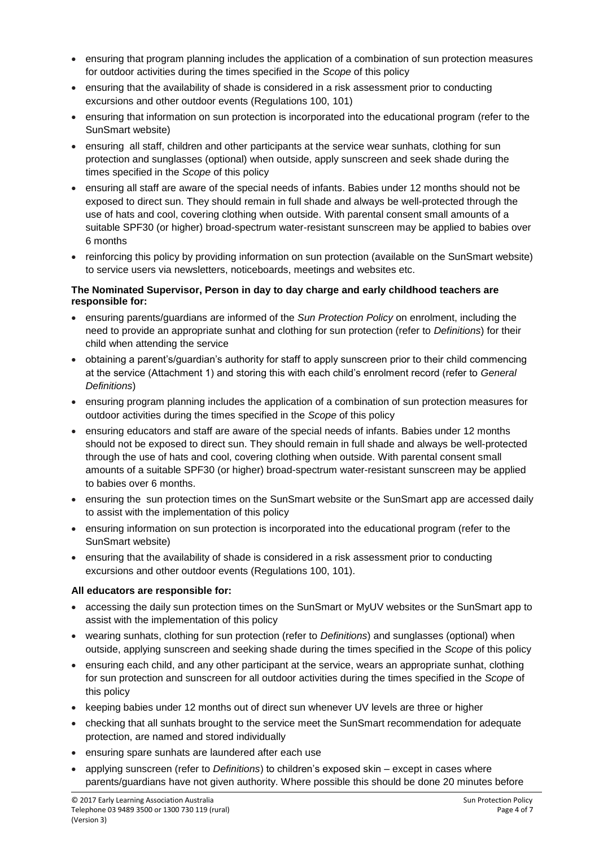- ensuring that program planning includes the application of a combination of sun protection measures for outdoor activities during the times specified in the *Scope* of this policy
- ensuring that the availability of shade is considered in a risk assessment prior to conducting excursions and other outdoor events (Regulations 100, 101)
- ensuring that information on sun protection is incorporated into the educational program (refer to the SunSmart website)
- ensuring all staff, children and other participants at the service wear sunhats, clothing for sun protection and sunglasses (optional) when outside, apply sunscreen and seek shade during the times specified in the *Scope* of this policy
- ensuring all staff are aware of the special needs of infants. Babies under 12 months should not be exposed to direct sun. They should remain in full shade and always be well-protected through the use of hats and cool, covering clothing when outside. With parental consent small amounts of a suitable SPF30 (or higher) broad-spectrum water-resistant sunscreen may be applied to babies over 6 months
- reinforcing this policy by providing information on sun protection (available on the SunSmart website) to service users via newsletters, noticeboards, meetings and websites etc.

#### **The Nominated Supervisor, Person in day to day charge and early childhood teachers are responsible for:**

- ensuring parents/guardians are informed of the *Sun Protection Policy* on enrolment, including the need to provide an appropriate sunhat and clothing for sun protection (refer to *Definitions*) for their child when attending the service
- obtaining a parent's/guardian's authority for staff to apply sunscreen prior to their child commencing at the service (Attachment 1) and storing this with each child's enrolment record (refer to *General Definitions*)
- ensuring program planning includes the application of a combination of sun protection measures for outdoor activities during the times specified in the *Scope* of this policy
- ensuring educators and staff are aware of the special needs of infants. Babies under 12 months should not be exposed to direct sun. They should remain in full shade and always be well-protected through the use of hats and cool, covering clothing when outside. With parental consent small amounts of a suitable SPF30 (or higher) broad-spectrum water-resistant sunscreen may be applied to babies over 6 months.
- ensuring the sun protection times on the SunSmart website or the SunSmart app are accessed daily to assist with the implementation of this policy
- ensuring information on sun protection is incorporated into the educational program (refer to the SunSmart website)
- ensuring that the availability of shade is considered in a risk assessment prior to conducting excursions and other outdoor events (Regulations 100, 101).

#### **All educators are responsible for:**

- accessing the daily sun protection times on the SunSmart or MyUV websites or the SunSmart app to assist with the implementation of this policy
- wearing sunhats, clothing for sun protection (refer to *Definitions*) and sunglasses (optional) when outside, applying sunscreen and seeking shade during the times specified in the *Scope* of this policy
- ensuring each child, and any other participant at the service, wears an appropriate sunhat, clothing for sun protection and sunscreen for all outdoor activities during the times specified in the *Scope* of this policy
- keeping babies under 12 months out of direct sun whenever UV levels are three or higher
- checking that all sunhats brought to the service meet the SunSmart recommendation for adequate protection, are named and stored individually
- ensuring spare sunhats are laundered after each use
- applying sunscreen (refer to *Definitions*) to children's exposed skin except in cases where parents/guardians have not given authority. Where possible this should be done 20 minutes before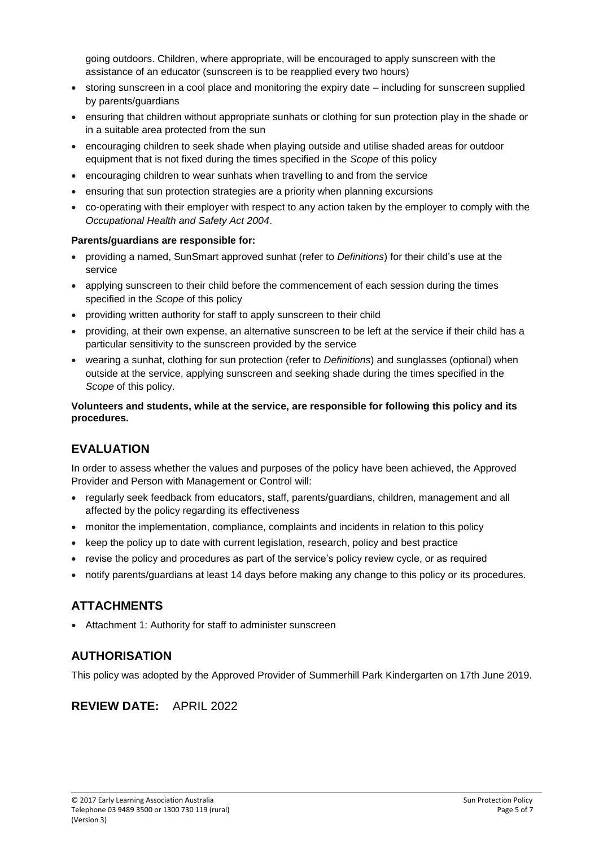going outdoors. Children, where appropriate, will be encouraged to apply sunscreen with the assistance of an educator (sunscreen is to be reapplied every two hours)

- storing sunscreen in a cool place and monitoring the expiry date including for sunscreen supplied by parents/guardians
- ensuring that children without appropriate sunhats or clothing for sun protection play in the shade or in a suitable area protected from the sun
- encouraging children to seek shade when playing outside and utilise shaded areas for outdoor equipment that is not fixed during the times specified in the *Scope* of this policy
- encouraging children to wear sunhats when travelling to and from the service
- ensuring that sun protection strategies are a priority when planning excursions
- co-operating with their employer with respect to any action taken by the employer to comply with the *Occupational Health and Safety Act 2004*.

#### **Parents/guardians are responsible for:**

- providing a named, SunSmart approved sunhat (refer to *Definitions*) for their child's use at the service
- applying sunscreen to their child before the commencement of each session during the times specified in the *Scope* of this policy
- providing written authority for staff to apply sunscreen to their child
- providing, at their own expense, an alternative sunscreen to be left at the service if their child has a particular sensitivity to the sunscreen provided by the service
- wearing a sunhat, clothing for sun protection (refer to *Definitions*) and sunglasses (optional) when outside at the service, applying sunscreen and seeking shade during the times specified in the *Scope* of this policy.

#### **Volunteers and students, while at the service, are responsible for following this policy and its procedures.**

# **EVALUATION**

In order to assess whether the values and purposes of the policy have been achieved, the Approved Provider and Person with Management or Control will:

- regularly seek feedback from educators, staff, parents/guardians, children, management and all affected by the policy regarding its effectiveness
- monitor the implementation, compliance, complaints and incidents in relation to this policy
- keep the policy up to date with current legislation, research, policy and best practice
- revise the policy and procedures as part of the service's policy review cycle, or as required
- notify parents/guardians at least 14 days before making any change to this policy or its procedures.

# **ATTACHMENTS**

• Attachment 1: Authority for staff to administer sunscreen

# **AUTHORISATION**

This policy was adopted by the Approved Provider of Summerhill Park Kindergarten on 17th June 2019.

# **REVIEW DATE:** APRIL 2022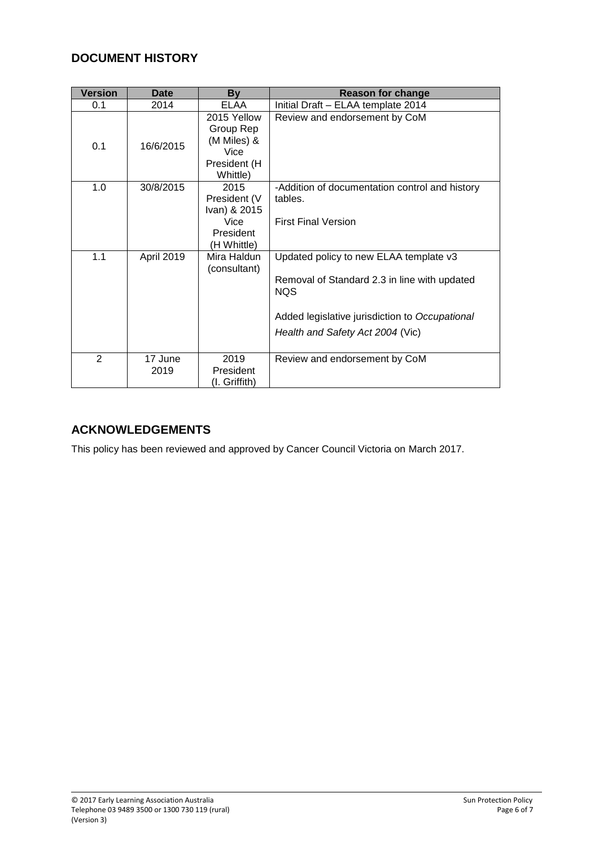# **DOCUMENT HISTORY**

| <b>Version</b> | <b>Date</b>     | By                                                                          | <b>Reason for change</b>                                                                                                                                                                   |
|----------------|-----------------|-----------------------------------------------------------------------------|--------------------------------------------------------------------------------------------------------------------------------------------------------------------------------------------|
| 0.1            | 2014            | <b>ELAA</b>                                                                 | Initial Draft - ELAA template 2014                                                                                                                                                         |
| 0.1            | 16/6/2015       | 2015 Yellow<br>Group Rep<br>(M Miles) &<br>Vice<br>President (H<br>Whittle) | Review and endorsement by CoM                                                                                                                                                              |
| 1.0            | 30/8/2015       | 2015<br>President (V<br>Ivan) & 2015<br>Vice<br>President<br>(H Whittle)    | -Addition of documentation control and history<br>tables.<br><b>First Final Version</b>                                                                                                    |
| 1.1            | April 2019      | Mira Haldun<br>(consultant)                                                 | Updated policy to new ELAA template v3<br>Removal of Standard 2.3 in line with updated<br><b>NQS</b><br>Added legislative jurisdiction to Occupational<br>Health and Safety Act 2004 (Vic) |
| $\overline{2}$ | 17 June<br>2019 | 2019<br>President<br>(I. Griffith)                                          | Review and endorsement by CoM                                                                                                                                                              |

# **ACKNOWLEDGEMENTS**

This policy has been reviewed and approved by Cancer Council Victoria on March 2017.